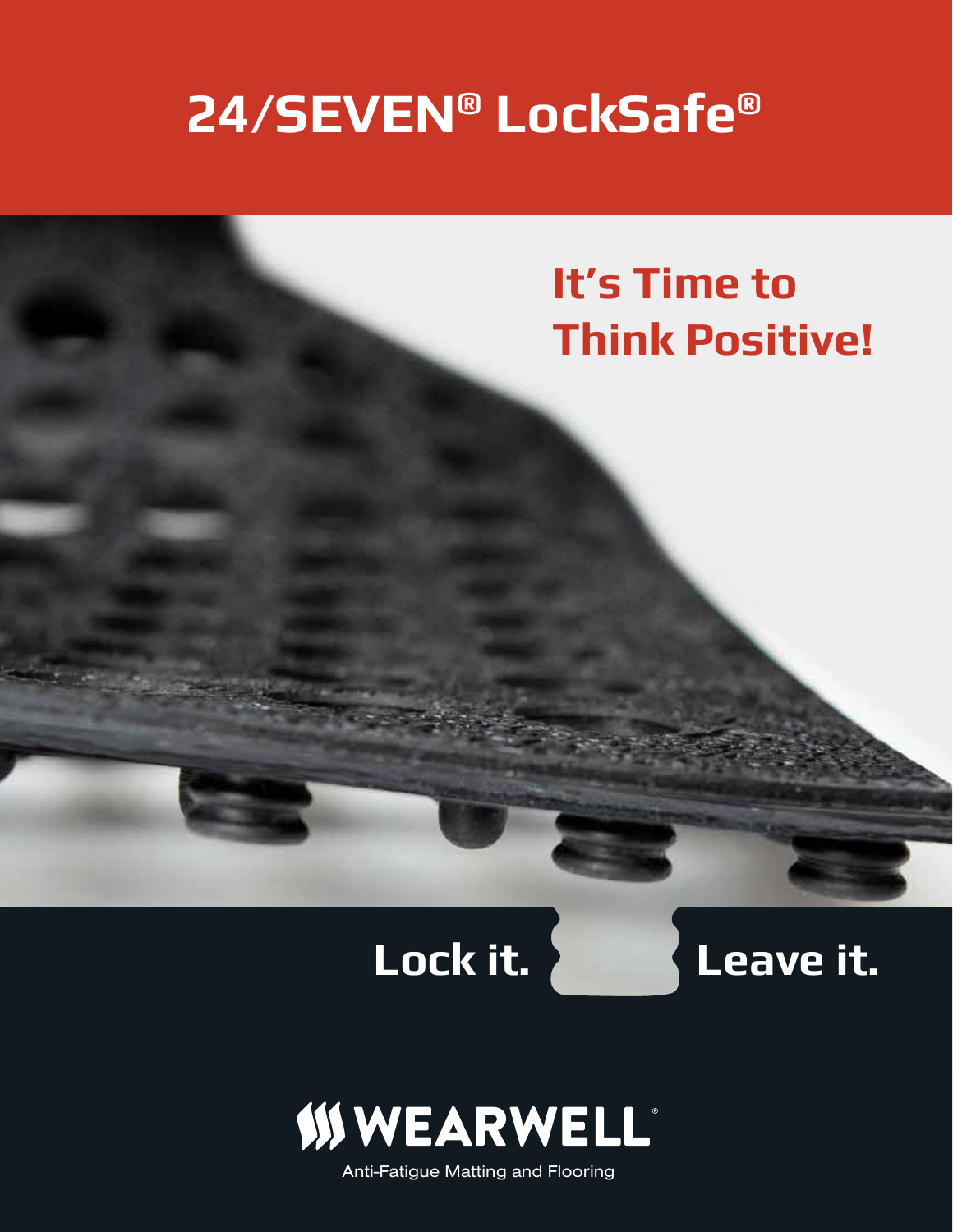# **24/SEVEN® LockSafe®**







Anti-Fatigue Matting and Flooring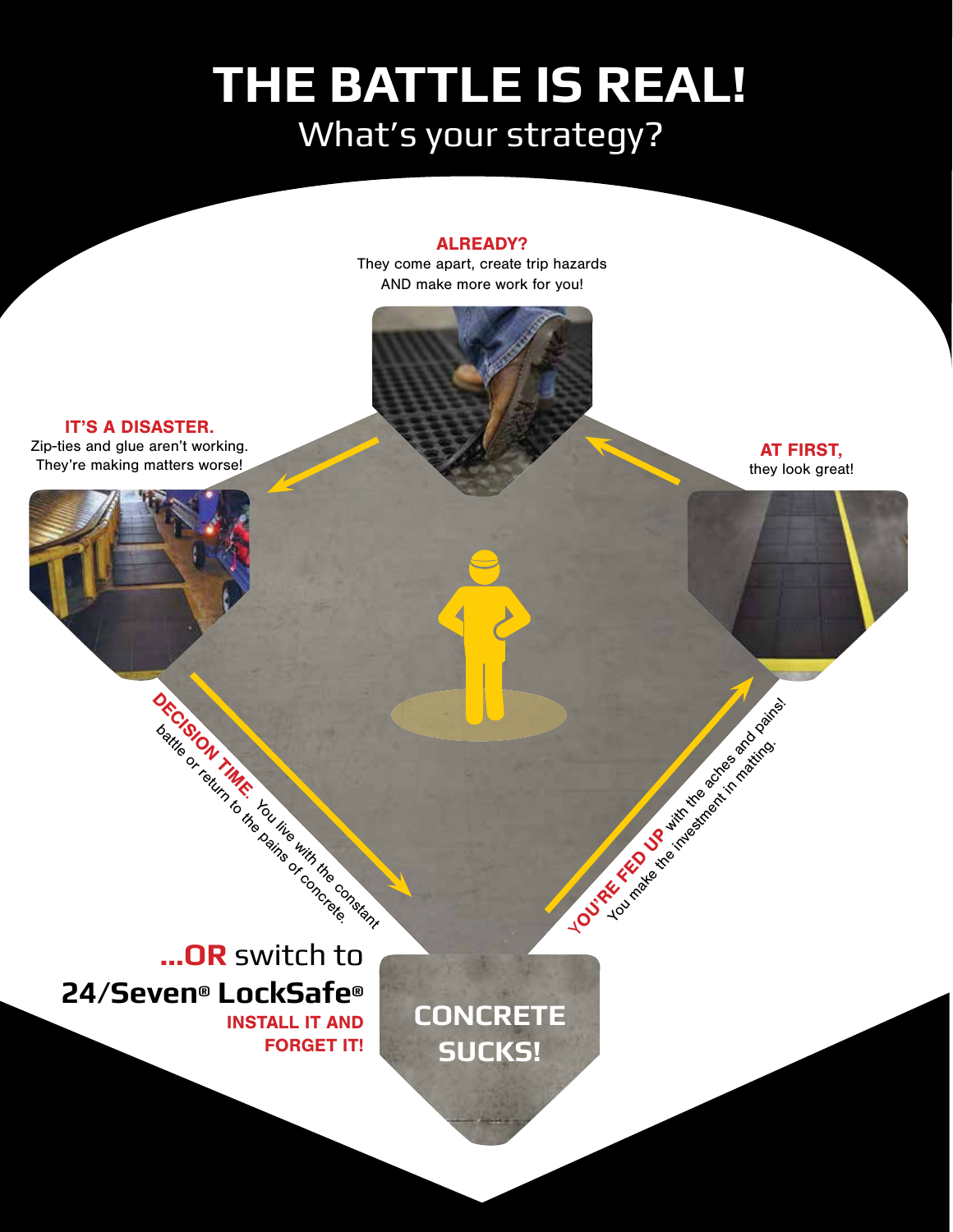# What's your strategy? **THE BATTLE IS REAL!**

### ALREADY?

They come apart, create trip hazards AND make more work for you!

IT'S A DISASTER. Zip-ties and glue aren't working. They're making matters worse!

AT FIRST, they look great!

YOU'RE FED UP with the achieves a property of You make the investment in matting.

**...OR** switch to **24/Seven® LockSafe®** INSTALL IT AND FORGET IT!

**DECISION TIME.** 

battle of return to the canding of the concrete of

**CONCRETE SUCKS!**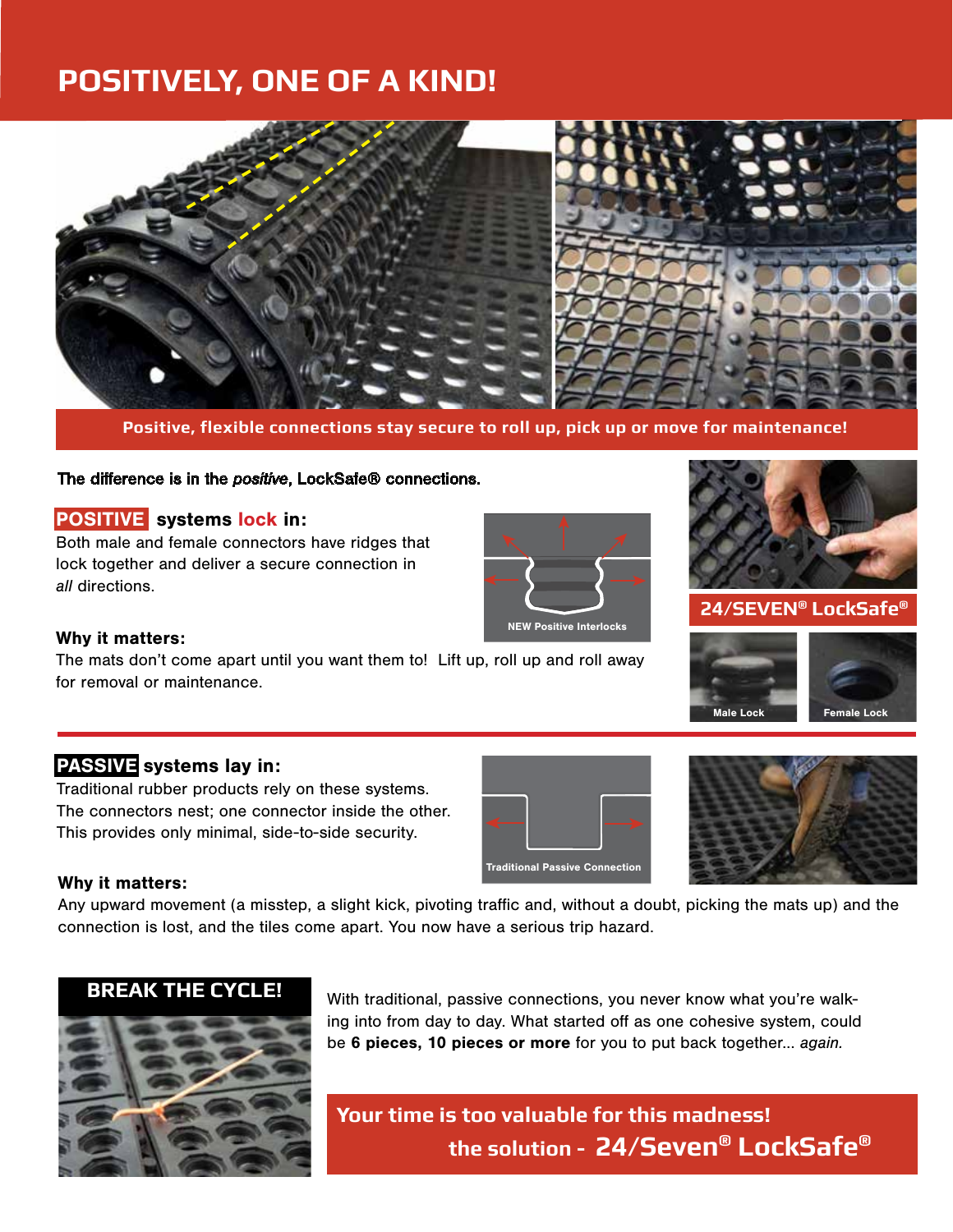# **POSITIVELY, ONE OF A KIND!**



**Positive, flexible connections stay secure to roll up, pick up or move for maintenance!**

### The difference is in the *positive*, LockSafe® connections.

### POSITIVE systems lock in:

Both male and female connectors have ridges that lock together and deliver a secure connection in *all* directions.



### Why it matters:

The mats don't come apart until you want them to! Lift up, roll up and roll away for removal or maintenance.

### **24/SEVEN® LockSafe®**



### PASSIVE systems lay in:

Traditional rubber products rely on these systems. The connectors nest; one connector inside the other. This provides only minimal, side-to-side security.





### Why it matters:

Any upward movement (a misstep, a slight kick, pivoting traffic and, without a doubt, picking the mats up) and the connection is lost, and the tiles come apart. You now have a serious trip hazard.



With traditional, passive connections, you never know what you're walking into from day to day. What started off as one cohesive system, could be 6 pieces, 10 pieces or more for you to put back together... *again.*

**Your time is too valuable for this madness! the solution - 24/Seven® LockSafe®**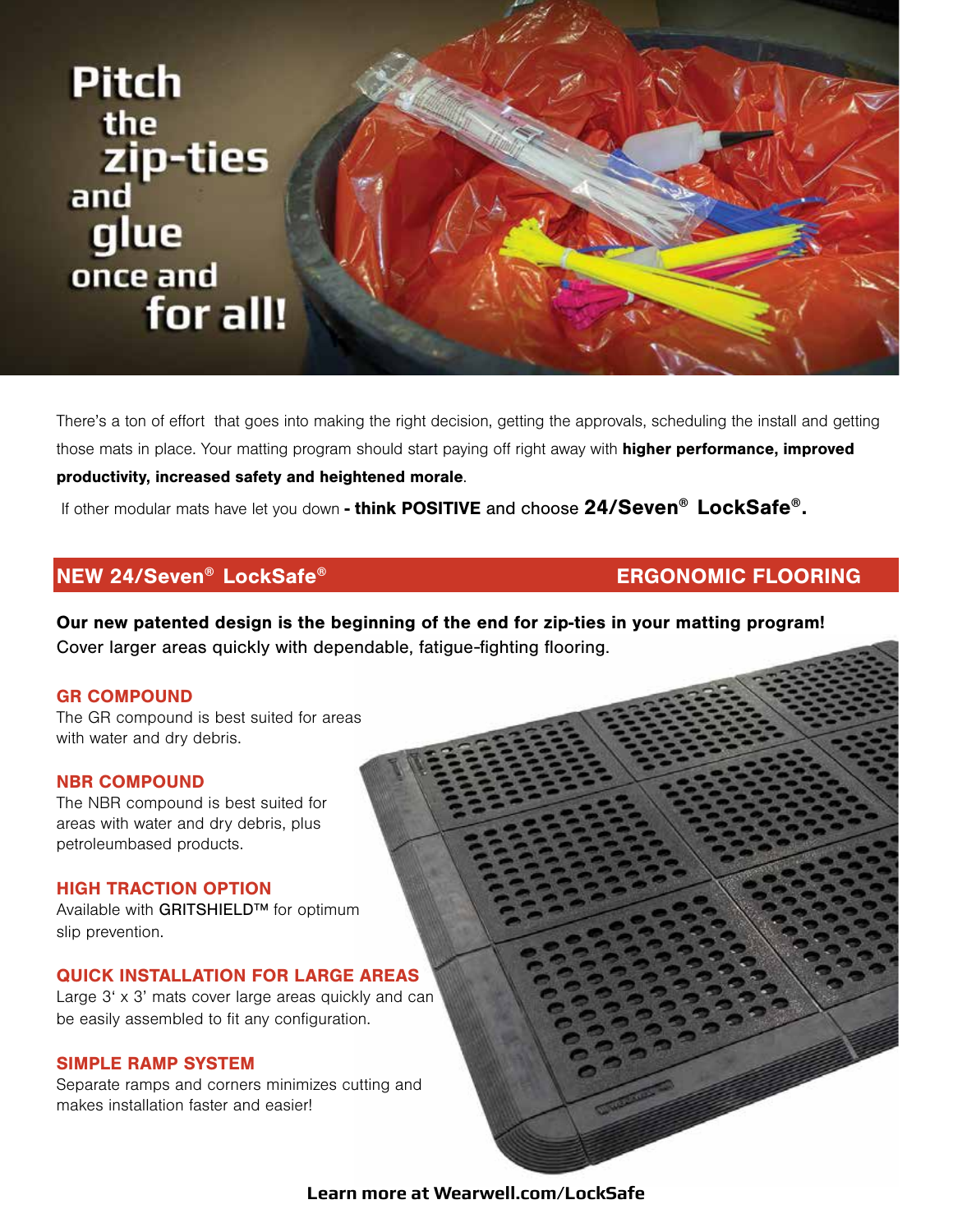

There's a ton of effort that goes into making the right decision, getting the approvals, scheduling the install and getting those mats in place. Your matting program should start paying off right away with **higher performance, improved** productivity, increased safety and heightened morale.

If other modular mats have let you down - think POSITIVE and choose 24/Seven® LockSafe®.

### NEW 24/Seven® LockSafe® ERGONOMIC FLOORING

Our new patented design is the beginning of the end for zip-ties in your matting program! Cover larger areas quickly with dependable, fatigue-fighting flooring.

### GR COMPOUND

The GR compound is best suited for areas with water and dry debris.

NBR COMPOUND The NBR compound is best suited for areas with water and dry debris, plus

### HIGH TRACTION OPTION

petroleumbased products.

Available with GRITSHIELD™ for optimum slip prevention.

### QUICK INSTALLATION FOR LARGE AREAS

Large 3' x 3' mats cover large areas quickly and can be easily assembled to fit any configuration.

### SIMPLE RAMP SYSTEM

Separate ramps and corners minimizes cutting and makes installation faster and easier!

**Learn more at Wearwell.com/LockSafe**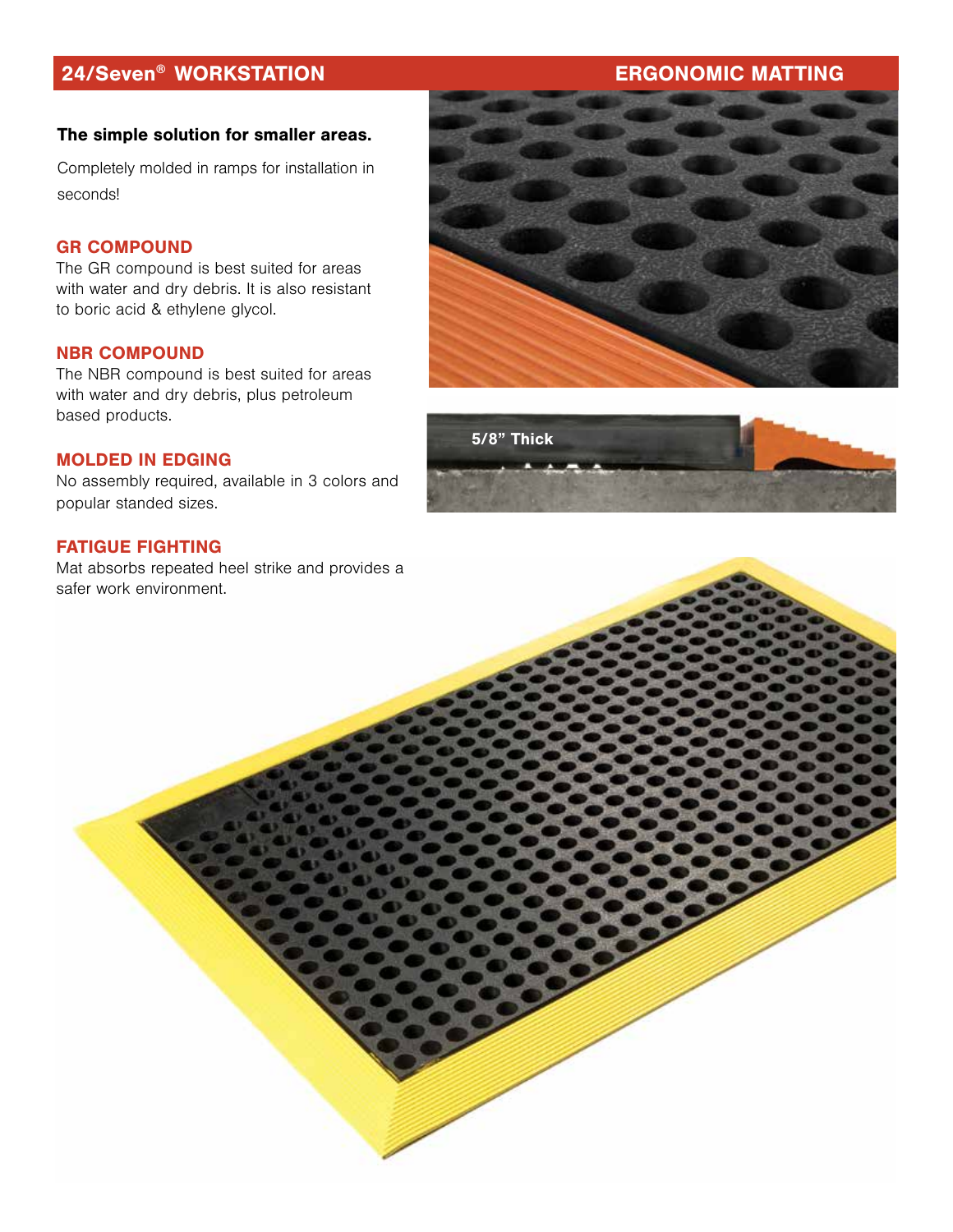# 24/Seven® WORKSTATION ERGONOMIC MATTING

### The simple solution for smaller areas.

Completely molded in ramps for installation in seconds!

### GR COMPOUND

The GR compound is best suited for areas with water and dry debris. It is also resistant to boric acid & ethylene glycol.

### NBR COMPOUND

The NBR compound is best suited for areas with water and dry debris, plus petroleum based products.

### MOLDED IN EDGING

No assembly required, available in 3 colors and popular standed sizes.

### FATIGUE FIGHTING

Mat absorbs repeated heel strike and provides a safer work environment.



# 5/8" Thick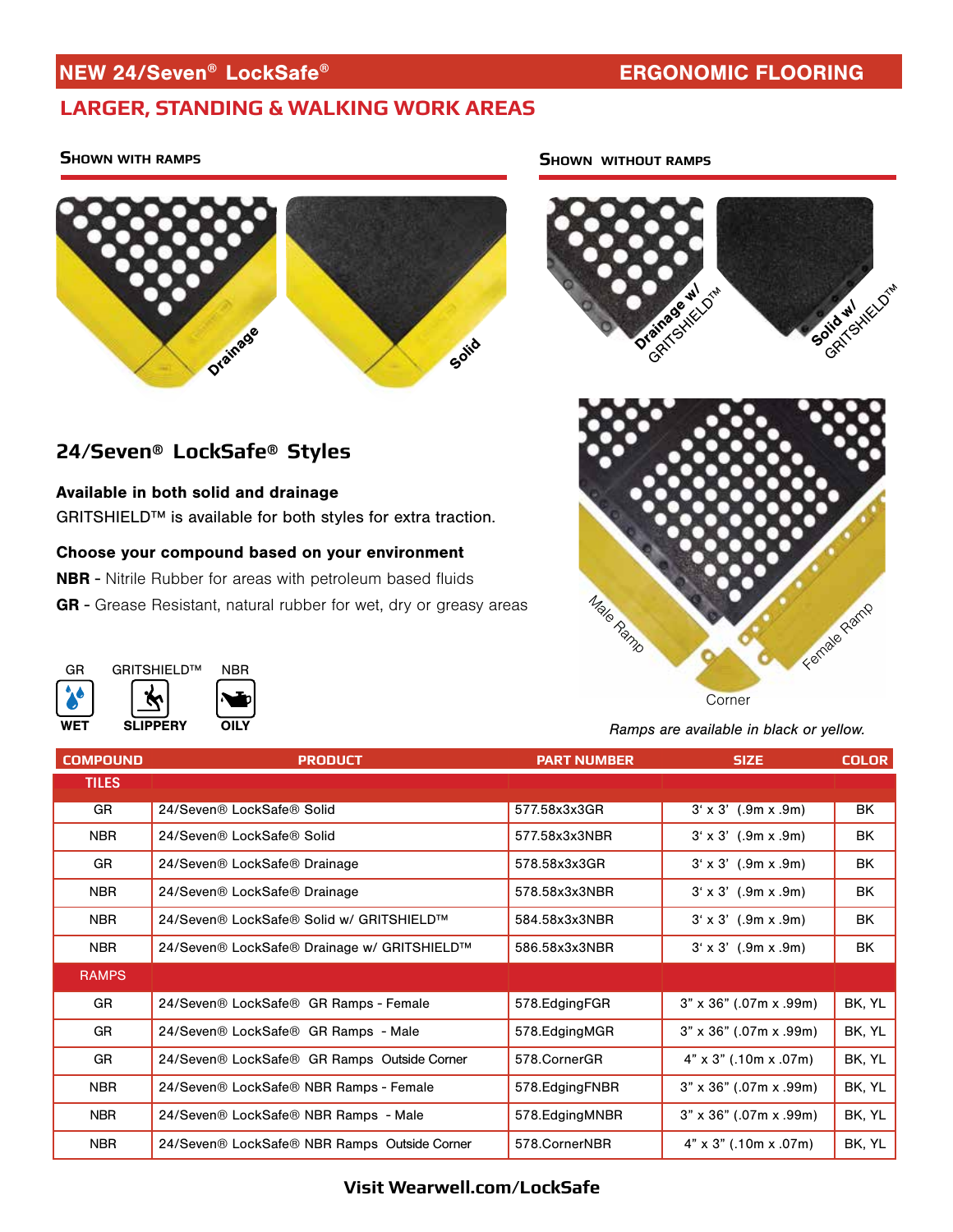## NEW 24/Seven® LockSafe® ERGONOMIC FLOORING

**24/Seven® LockSafe® Styles**

Available in both solid and drainage

WET

**SLIPPERY** 

GRITSHIELD™

GR

# **LARGER, STANDING & WALKING WORK AREAS**

### **Shown with ramps**



GRITSHIELD™ is available for both styles for extra traction.

GR - Grease Resistant, natural rubber for wet, dry or greasy areas

Choose your compound based on your environment NBR - Nitrile Rubber for areas with petroleum based fluids

OILY

NBR

### **Shown without ramps**





**Corner** 

*Ramps are available in black or yellow.*

| <b>COMPOUND</b> | <b>PRODUCT</b>                               | <b>PART NUMBER</b> | <b>SIZE</b>                   | <b>COLOR</b> |
|-----------------|----------------------------------------------|--------------------|-------------------------------|--------------|
| <b>TILES</b>    |                                              |                    |                               |              |
| GR              | 24/Seven® LockSafe® Solid                    | 577.58x3x3GR       | $3' \times 3'$ (.9m x .9m)    | BK           |
| <b>NBR</b>      | 24/Seven® LockSafe® Solid                    | 577.58x3x3NBR      | $3' \times 3'$ (.9m x .9m)    | BK           |
| <b>GR</b>       | 24/Seven® LockSafe® Drainage                 | 578.58x3x3GR       | $3' \times 3'$ (.9m x .9m)    | BK           |
| <b>NBR</b>      | 24/Seven® LockSafe® Drainage                 | 578.58x3x3NBR      | $3' \times 3'$ (.9m x .9m)    | BK           |
| <b>NBR</b>      | 24/Seven® LockSafe® Solid w/ GRITSHIELD™     | 584.58x3x3NBR      | $3' \times 3'$ (.9m x .9m)    | BK           |
| <b>NBR</b>      | 24/Seven® LockSafe® Drainage w/ GRITSHIELD™  | 586.58x3x3NBR      | $3' \times 3'$ (.9m x .9m)    | BK           |
| <b>RAMPS</b>    |                                              |                    |                               |              |
| GR              | 24/Seven® LockSafe® GR Ramps - Female        | 578.EdgingFGR      | $3" \times 36"$ (.07m x .99m) | BK, YL       |
| GR              | 24/Seven® LockSafe® GR Ramps - Male          | 578.EdgingMGR      | $3" \times 36"$ (.07m x .99m) | BK, YL       |
| <b>GR</b>       | 24/Seven® LockSafe® GR Ramps Outside Corner  | 578.CornerGR       | $4" \times 3"$ (.10m x .07m)  | BK, YL       |
| <b>NBR</b>      | 24/Seven® LockSafe® NBR Ramps - Female       | 578.EdgingFNBR     | $3" \times 36"$ (.07m x .99m) | BK, YL       |
| <b>NBR</b>      | 24/Seven® LockSafe® NBR Ramps - Male         | 578. Edging MNBR   | $3" \times 36"$ (.07m x .99m) | BK, YL       |
| <b>NBR</b>      | 24/Seven® LockSafe® NBR Ramps Outside Corner | 578.CornerNBR      | $4" \times 3"$ (.10m x .07m)  | BK, YL       |

### **Visit Wearwell.com/LockSafe**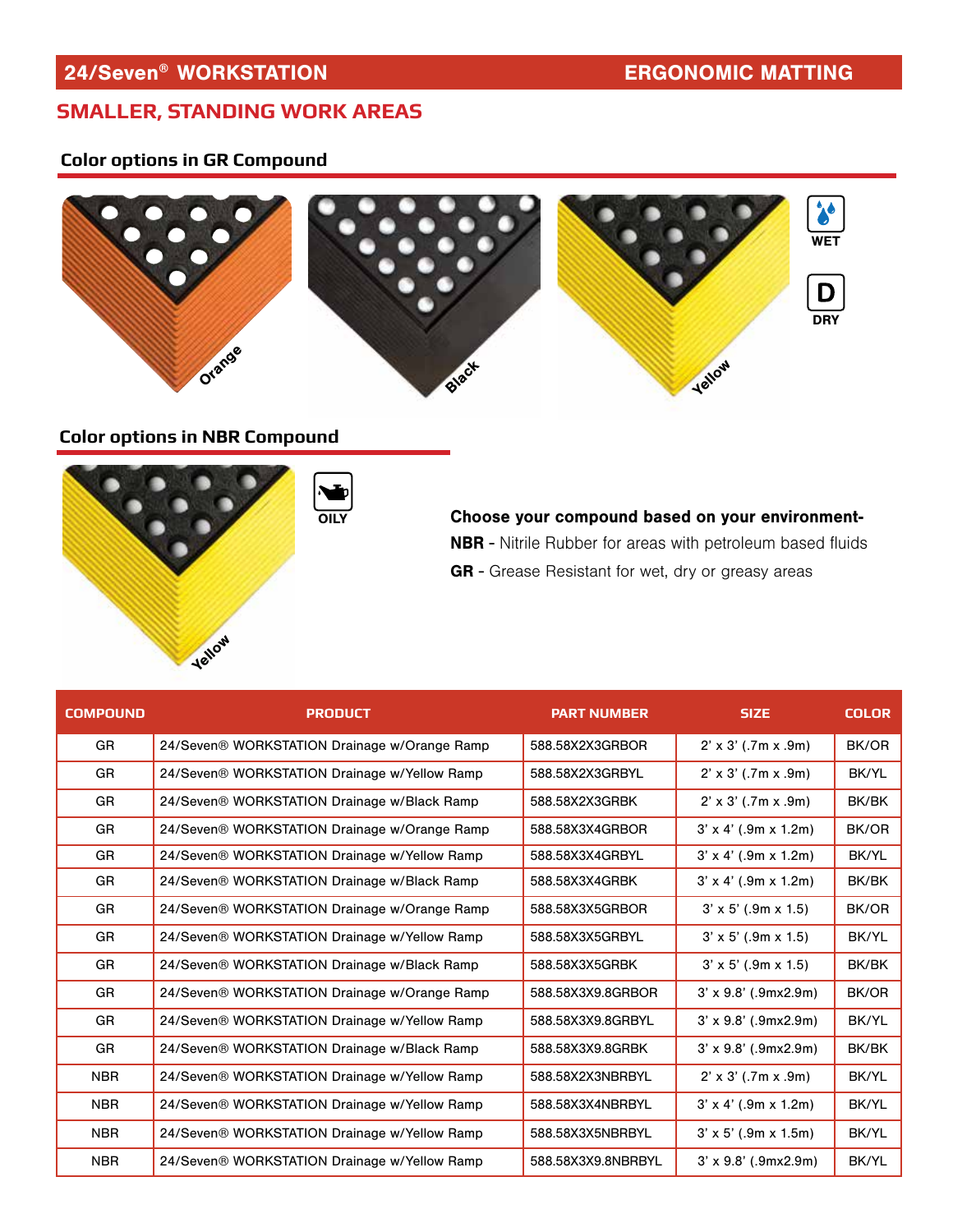### **SMALLER, STANDING WORK AREAS**

### **Color options in GR Compound**



### **Color options in NBR Compound**



OILY Choose your compound based on your environment-NBR - Nitrile Rubber for areas with petroleum based fluids GR - Grease Resistant for wet, dry or greasy areas

| <b>COMPOUND</b> | <b>PRODUCT</b>                               | <b>PART NUMBER</b> | <b>SIZE</b>                        | <b>COLOR</b> |
|-----------------|----------------------------------------------|--------------------|------------------------------------|--------------|
| GR              | 24/Seven® WORKSTATION Drainage w/Orange Ramp | 588.58X2X3GRBOR    | $2' \times 3'$ (.7m x .9m)         | BK/OR        |
| GR              | 24/Seven® WORKSTATION Drainage w/Yellow Ramp | 588.58X2X3GRBYL    | $2' \times 3'$ (.7m x .9m)         | BK/YL        |
| GR              | 24/Seven® WORKSTATION Drainage w/Black Ramp  | 588.58X2X3GRBK     | $2' \times 3'$ (.7m x .9m)         | BK/BK        |
| <b>GR</b>       | 24/Seven® WORKSTATION Drainage w/Orange Ramp | 588.58X3X4GRBOR    | $3' \times 4'$ (.9m $\times$ 1.2m) | BK/OR        |
| GR              | 24/Seven® WORKSTATION Drainage w/Yellow Ramp | 588.58X3X4GRBYL    | $3' \times 4'$ (.9m $\times$ 1.2m) | BK/YL        |
| GR              | 24/Seven® WORKSTATION Drainage w/Black Ramp  | 588.58X3X4GRBK     | $3' \times 4'$ (.9m $\times$ 1.2m) | BK/BK        |
| GR              | 24/Seven® WORKSTATION Drainage w/Orange Ramp | 588.58X3X5GRBOR    | $3' \times 5'$ (.9m $\times$ 1.5)  | BK/OR        |
| GR              | 24/Seven® WORKSTATION Drainage w/Yellow Ramp | 588.58X3X5GRBYL    | $3' \times 5'$ (.9m $\times$ 1.5)  | BK/YL        |
| GR              | 24/Seven® WORKSTATION Drainage w/Black Ramp  | 588.58X3X5GRBK     | $3' \times 5'$ (.9m $\times$ 1.5)  | BK/BK        |
| GR              | 24/Seven® WORKSTATION Drainage w/Orange Ramp | 588.58X3X9.8GRBOR  | $3' \times 9.8'$ (.9mx2.9m)        | BK/OR        |
| GR              | 24/Seven® WORKSTATION Drainage w/Yellow Ramp | 588.58X3X9.8GRBYL  | $3' \times 9.8'$ (.9mx2.9m)        | BK/YL        |
| GR              | 24/Seven® WORKSTATION Drainage w/Black Ramp  | 588.58X3X9.8GRBK   | $3' \times 9.8'$ (.9mx2.9m)        | BK/BK        |
| <b>NBR</b>      | 24/Seven® WORKSTATION Drainage w/Yellow Ramp | 588.58X2X3NBRBYL   | $2' \times 3'$ (.7m x .9m)         | BK/YL        |
| <b>NBR</b>      | 24/Seven® WORKSTATION Drainage w/Yellow Ramp | 588.58X3X4NBRBYL   | $3' \times 4'$ (.9m $\times$ 1.2m) | BK/YL        |
| <b>NBR</b>      | 24/Seven® WORKSTATION Drainage w/Yellow Ramp | 588.58X3X5NBRBYL   | $3' \times 5'$ (.9m $\times$ 1.5m) | BK/YL        |
| <b>NBR</b>      | 24/Seven® WORKSTATION Drainage w/Yellow Ramp | 588.58X3X9.8NBRBYL | $3' \times 9.8'$ (.9mx2.9m)        | BK/YL        |